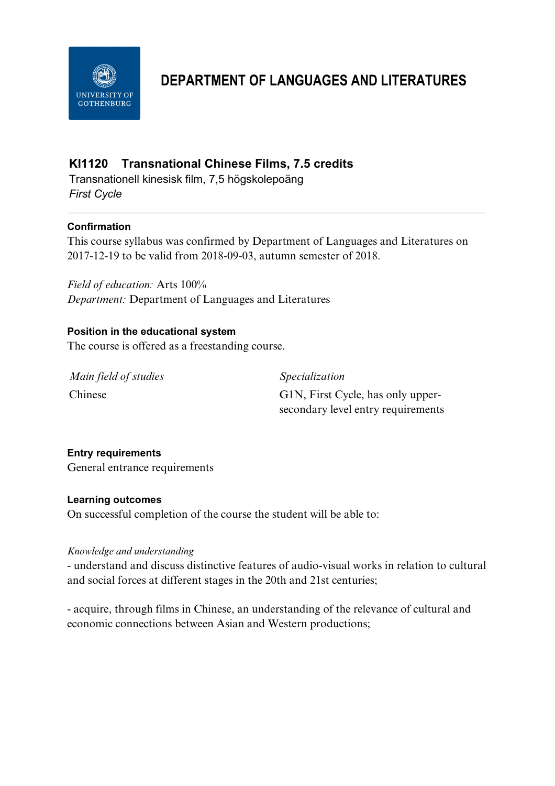

# **DEPARTMENT OF LANGUAGES AND LITERATURES**

# **KI1120 Transnational Chinese Films, 7.5 credits**

Transnationell kinesisk film, 7,5 högskolepoäng *First Cycle*

# **Confirmation**

This course syllabus was confirmed by Department of Languages and Literatures on 2017-12-19 to be valid from 2018-09-03, autumn semester of 2018.

*Field of education:* Arts 100% *Department:* Department of Languages and Literatures

# **Position in the educational system**

The course is offered as a freestanding course.

*Main field of studies Specialization*

Chinese G1N, First Cycle, has only uppersecondary level entry requirements

# **Entry requirements**

General entrance requirements

# **Learning outcomes**

On successful completion of the course the student will be able to:

#### *Knowledge and understanding*

- understand and discuss distinctive features of audio-visual works in relation to cultural and social forces at different stages in the 20th and 21st centuries;

- acquire, through films in Chinese, an understanding of the relevance of cultural and economic connections between Asian and Western productions;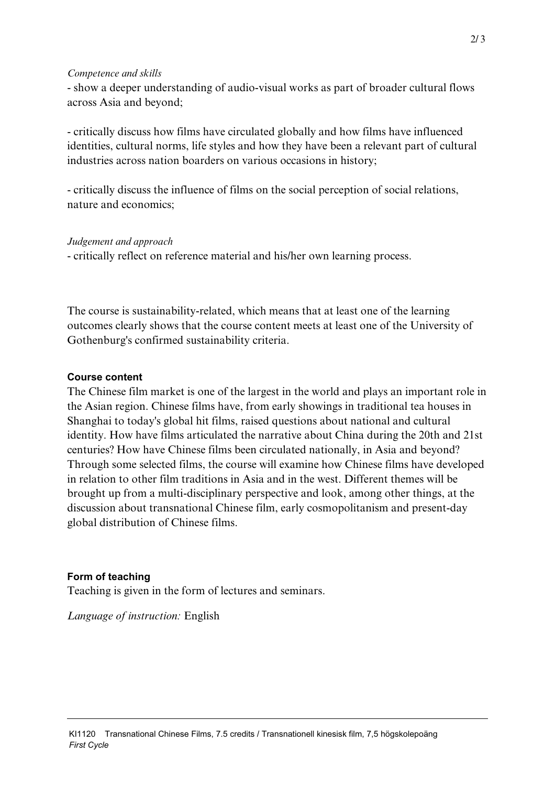#### *Competence and skills*

- show a deeper understanding of audio-visual works as part of broader cultural flows across Asia and beyond;

- critically discuss how films have circulated globally and how films have influenced identities, cultural norms, life styles and how they have been a relevant part of cultural industries across nation boarders on various occasions in history;

- critically discuss the influence of films on the social perception of social relations, nature and economics;

*Judgement and approach*

- critically reflect on reference material and his/her own learning process.

The course is sustainability-related, which means that at least one of the learning outcomes clearly shows that the course content meets at least one of the University of Gothenburg's confirmed sustainability criteria.

### **Course content**

The Chinese film market is one of the largest in the world and plays an important role in the Asian region. Chinese films have, from early showings in traditional tea houses in Shanghai to today's global hit films, raised questions about national and cultural identity. How have films articulated the narrative about China during the 20th and 21st centuries? How have Chinese films been circulated nationally, in Asia and beyond? Through some selected films, the course will examine how Chinese films have developed in relation to other film traditions in Asia and in the west. Different themes will be brought up from a multi-disciplinary perspective and look, among other things, at the discussion about transnational Chinese film, early cosmopolitanism and present-day global distribution of Chinese films.

# **Form of teaching**

Teaching is given in the form of lectures and seminars.

*Language of instruction:* English